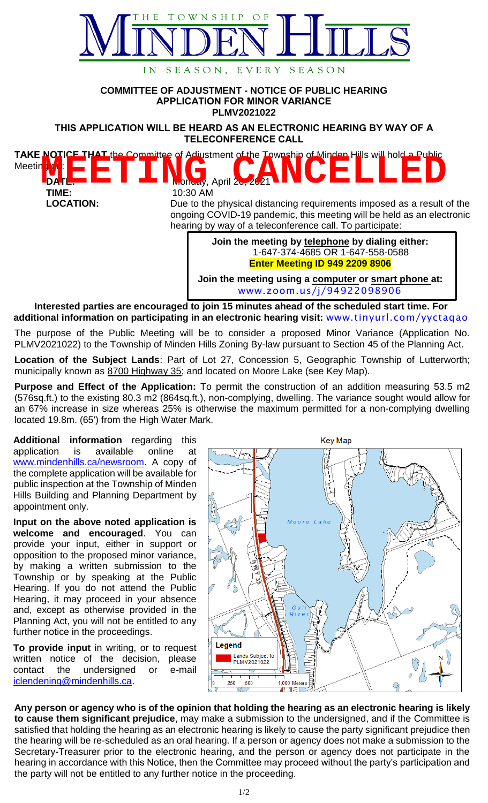

## **COMMITTEE OF ADJUSTMENT - NOTICE OF PUBLIC HEARING APPLICATION FOR MINOR VARIANCE PLMV2021022**

**THIS APPLICATION WILL BE HEARD AS AN ELECTRONIC HEARING BY WAY OF A TELECONFERENCE CALL**



**LOCATION:** Due to the physical distancing requirements imposed as a result of the ongoing COVID-19 pandemic, this meeting will be held as an electronic hearing by way of a teleconference call. To participate:

> **Join the meeting by telephone by dialing either:** 1-647-374-4685 OR 1-647-558-0588 **Enter Meeting ID 949 2209 8906**

**Join the meeting using a computer or smart phone at:** [www.zoom.us/j/94922098906](http://www.zoom.us/j/94922098906)

**Interested parties are encouraged to join 15 minutes ahead of the scheduled start time. For additional information on participating in an electronic hearing visit:** [www.tinyurl.com/yyctaqao](http://www.tinyurl.com/yyctaqao)

The purpose of the Public Meeting will be to consider a proposed Minor Variance (Application No. PLMV2021022) to the Township of Minden Hills Zoning By-law pursuant to Section 45 of the Planning Act.

**Location of the Subject Lands**: Part of Lot 27, Concession 5, Geographic Township of Lutterworth; municipally known as 8700 Highway 35; and located on Moore Lake (see Key Map).

**Purpose and Effect of the Application:** To permit the construction of an addition measuring 53.5 m2 (576sq.ft.) to the existing 80.3 m2 (864sq.ft.), non-complying, dwelling. The variance sought would allow for an 67% increase in size whereas 25% is otherwise the maximum permitted for a non-complying dwelling located 19.8m. (65') from the High Water Mark.

**Additional information** regarding this application is available online at [www.mindenhills.ca/newsroom.](http://www.mindenhills.ca/newsroom) A copy of the complete application will be available for public inspection at the Township of Minden Hills Building and Planning Department by appointment only.

**Input on the above noted application is welcome and encouraged**. You can provide your input, either in support or opposition to the proposed minor variance, by making a written submission to the Township or by speaking at the Public Hearing. lf you do not attend the Public Hearing, it may proceed in your absence and, except as otherwise provided in the Planning Act, you will not be entitled to any further notice in the proceedings.

**To provide input** in writing, or to request written notice of the decision, please contact the undersigned or e-mail [iclendening@mindenhills.ca.](mailto:iclendening@mindenhills.ca)



**Any person or agency who is of the opinion that holding the hearing as an electronic hearing is likely to cause them significant prejudice**, may make a submission to the undersigned, and if the Committee is satisfied that holding the hearing as an electronic hearing is likely to cause the party significant prejudice then the hearing will be re-scheduled as an oral hearing. If a person or agency does not make a submission to the Secretary-Treasurer prior to the electronic hearing, and the person or agency does not participate in the hearing in accordance with this Notice, then the Committee may proceed without the party's participation and the party will not be entitled to any further notice in the proceeding.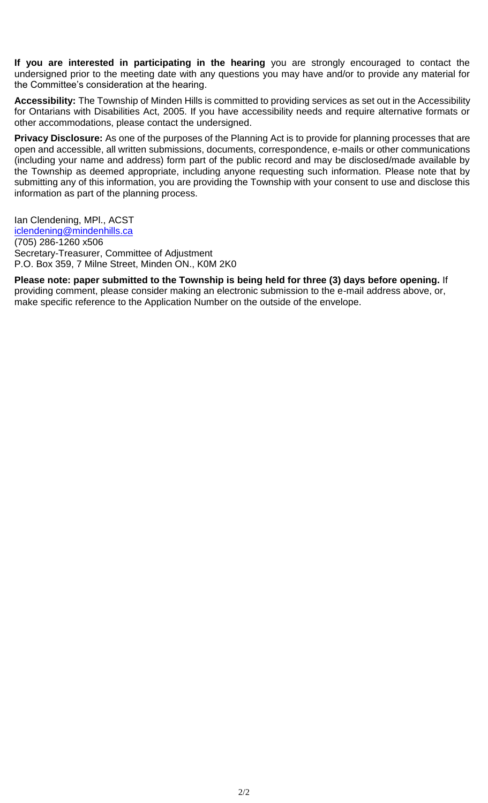**If you are interested in participating in the hearing** you are strongly encouraged to contact the undersigned prior to the meeting date with any questions you may have and/or to provide any material for the Committee's consideration at the hearing.

**Accessibility:** The Township of Minden Hills is committed to providing services as set out in the Accessibility for Ontarians with Disabilities Act, 2005. If you have accessibility needs and require alternative formats or other accommodations, please contact the undersigned.

**Privacy Disclosure:** As one of the purposes of the Planning Act is to provide for planning processes that are open and accessible, all written submissions, documents, correspondence, e-mails or other communications (including your name and address) form part of the public record and may be disclosed/made available by the Township as deemed appropriate, including anyone requesting such information. Please note that by submitting any of this information, you are providing the Township with your consent to use and disclose this information as part of the planning process.

Ian Clendening, MPl., ACST [iclendening@mindenhills.ca](mailto:iclendening@mindenhills.ca) (705) 286-1260 x506 Secretary-Treasurer, Committee of Adjustment P.O. Box 359, 7 Milne Street, Minden ON., K0M 2K0

**Please note: paper submitted to the Township is being held for three (3) days before opening.** If providing comment, please consider making an electronic submission to the e-mail address above, or, make specific reference to the Application Number on the outside of the envelope.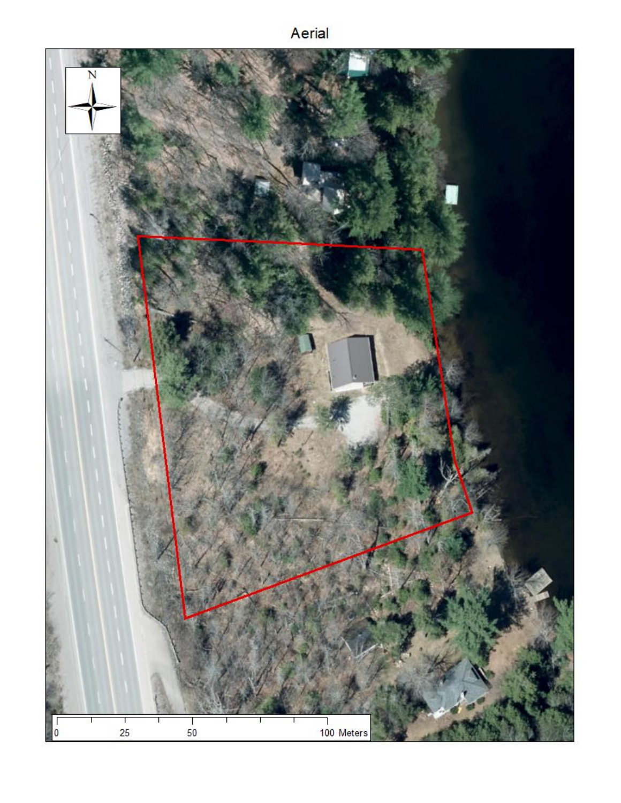## Aerial